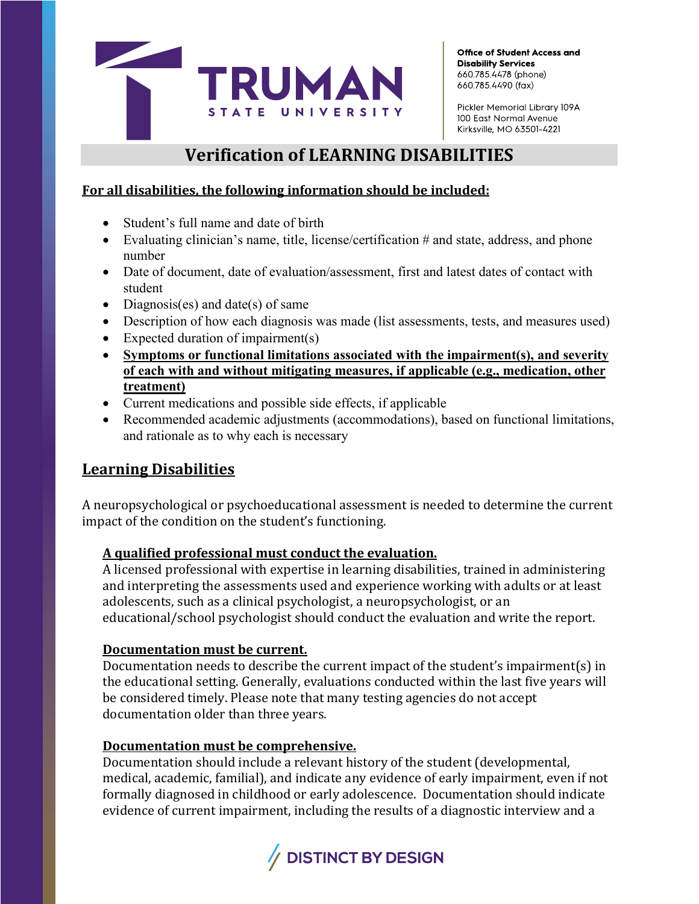

Office of Student Access and **Disability Services** 660.785.4478 (phone) 660.785.4490 (fax)

Pickler Memorial Library 109A 100 East Normal Avenue Kirksville, MO 63501-4221

# **Verification of LEARNING DISABILITIES**

### **For all disabilities, the following information should be included:**

- Student's full name and date of birth
- Evaluating clinician's name, title, license/certification # and state, address, and phone number
- Date of document, date of evaluation/assessment, first and latest dates of contact with student
- Diagnosis(es) and date(s) of same
- Description of how each diagnosis was made (list assessments, tests, and measures used)
- Expected duration of impairment(s)
- **Symptoms or functional limitations associated with the impairment(s), and severity of each with and without mitigating measures, if applicable (e.g., medication, other treatment)**
- Current medications and possible side effects, if applicable
- Recommended academic adjustments (accommodations), based on functional limitations, and rationale as to why each is necessary

## **Learning Disabilities**

A neuropsychological or psychoeducational assessment is needed to determine the current impact of the condition on the student's functioning.

#### **A qualified professional must conduct the evaluation.**

A licensed professional with expertise in learning disabilities, trained in administering and interpreting the assessments used and experience working with adults or at least adolescents, such as a clinical psychologist, a neuropsychologist, or an educational/school psychologist should conduct the evaluation and write the report.

#### **Documentation must be current.**

Documentation needs to describe the current impact of the student's impairment(s) in the educational setting. Generally, evaluations conducted within the last five years will be considered timely. Please note that many testing agencies do not accept documentation older than three years.

#### **Documentation must be comprehensive.**

Documentation should include a relevant history of the student (developmental, medical, academic, familial), and indicate any evidence of early impairment, even if not formally diagnosed in childhood or early adolescence. Documentation should indicate evidence of current impairment, including the results of a diagnostic interview and a